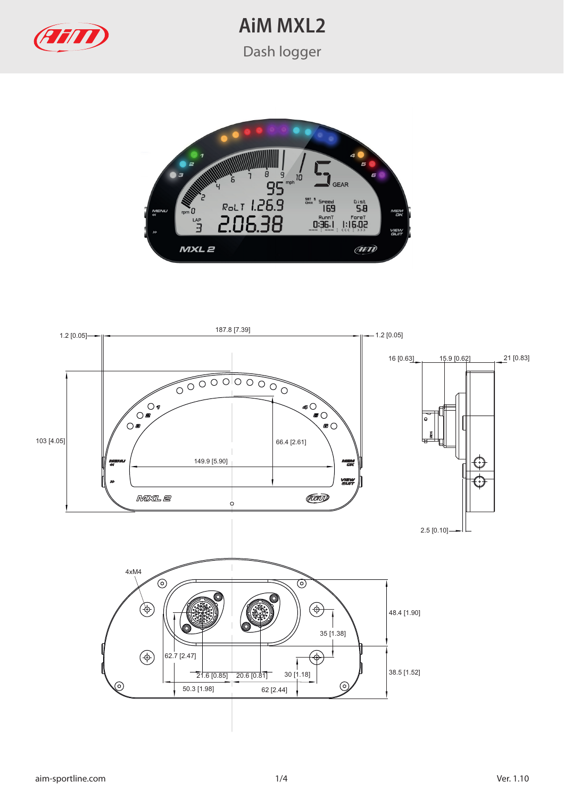

**AiM MXL2**

Dash logger



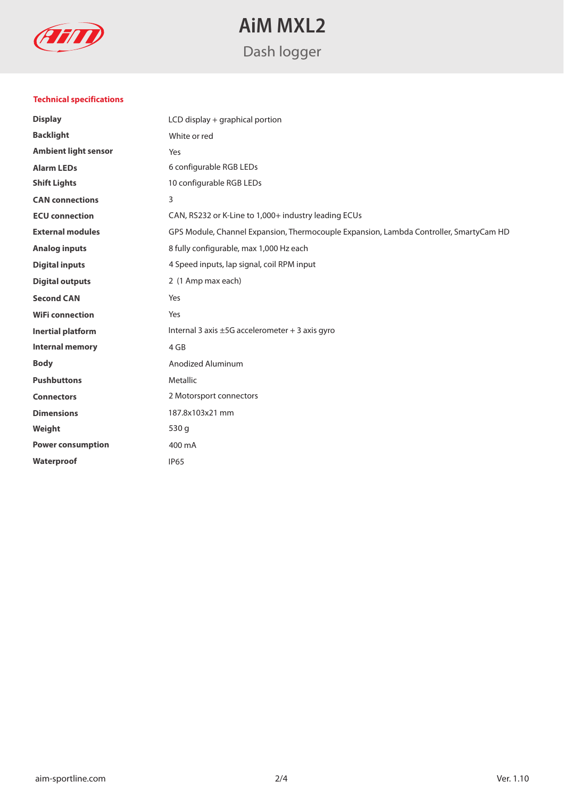

# **AiM MXL2** Dash logger

### **Technical specifications**

| <b>Display</b>              | LCD display + graphical portion                                                        |
|-----------------------------|----------------------------------------------------------------------------------------|
| <b>Backlight</b>            | White or red                                                                           |
| <b>Ambient light sensor</b> | Yes                                                                                    |
| <b>Alarm LEDs</b>           | 6 configurable RGB LEDs                                                                |
| <b>Shift Lights</b>         | 10 configurable RGB LEDs                                                               |
| <b>CAN</b> connections      | 3                                                                                      |
| <b>ECU</b> connection       | CAN, RS232 or K-Line to 1,000+ industry leading ECUs                                   |
| <b>External modules</b>     | GPS Module, Channel Expansion, Thermocouple Expansion, Lambda Controller, SmartyCam HD |
| <b>Analog inputs</b>        | 8 fully configurable, max 1,000 Hz each                                                |
| <b>Digital inputs</b>       | 4 Speed inputs, lap signal, coil RPM input                                             |
| <b>Digital outputs</b>      | 2 (1 Amp max each)                                                                     |
| <b>Second CAN</b>           | Yes                                                                                    |
| <b>WiFi connection</b>      | Yes                                                                                    |
| <b>Inertial platform</b>    | Internal 3 axis ±5G accelerometer + 3 axis gyro                                        |
| <b>Internal memory</b>      | 4 GB                                                                                   |
| <b>Body</b>                 | Anodized Aluminum                                                                      |
| <b>Pushbuttons</b>          | Metallic                                                                               |
| <b>Connectors</b>           | 2 Motorsport connectors                                                                |
| <b>Dimensions</b>           | 187.8x103x21 mm                                                                        |
| Weight                      | 530 g                                                                                  |
| <b>Power consumption</b>    | 400 mA                                                                                 |
| Waterproof                  | <b>IP65</b>                                                                            |
|                             |                                                                                        |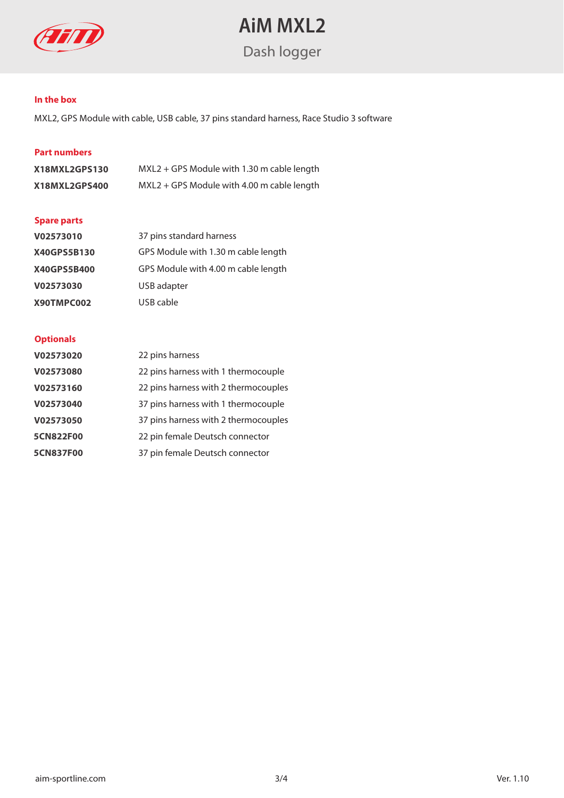

# **AiM MXL2**

Dash logger

#### **In the box**

MXL2, GPS Module with cable, USB cable, 37 pins standard harness, Race Studio 3 software

## **Part numbers**

| X18MXL2GPS130 | MXL2 + GPS Module with 1.30 m cable length |
|---------------|--------------------------------------------|
| X18MXL2GPS400 | MXL2 + GPS Module with 4.00 m cable length |

### **Spare parts**

| V02573010   | 37 pins standard harness            |
|-------------|-------------------------------------|
| X40GPS5B130 | GPS Module with 1.30 m cable length |
| X40GPS5B400 | GPS Module with 4.00 m cable length |
| V02573030   | USB adapter                         |
| X90TMPC002  | USB cable                           |

#### **Optionals**

| V02573020        | 22 pins harness                      |
|------------------|--------------------------------------|
| V02573080        | 22 pins harness with 1 thermocouple  |
| V02573160        | 22 pins harness with 2 thermocouples |
| V02573040        | 37 pins harness with 1 thermocouple  |
| V02573050        | 37 pins harness with 2 thermocouples |
| <b>5CN822F00</b> | 22 pin female Deutsch connector      |
| <b>5CN837F00</b> | 37 pin female Deutsch connector      |